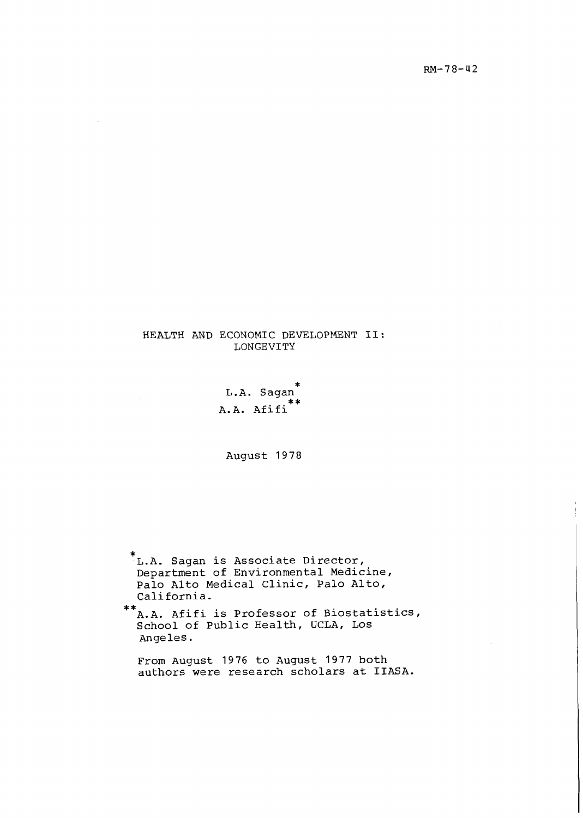$RM-78-42$ 

# HEALTH AND ECONOMIC DEVELOPMENT **I1** : LONGEVITY

\* L.A. Sagan \*\* A.A. Afifi

August 1978

\* L.A. Sagan is Associate Director, Department of Environmental Medicine, Palo Alto Medical Clinic, Palo Alto, California. \*\* A.A. Afifi is Professor of Biostatistics,

School of Public Health, UCLA, Los Angeles.

From August 1976 to August 1977 both authors were research scholars at IIASA.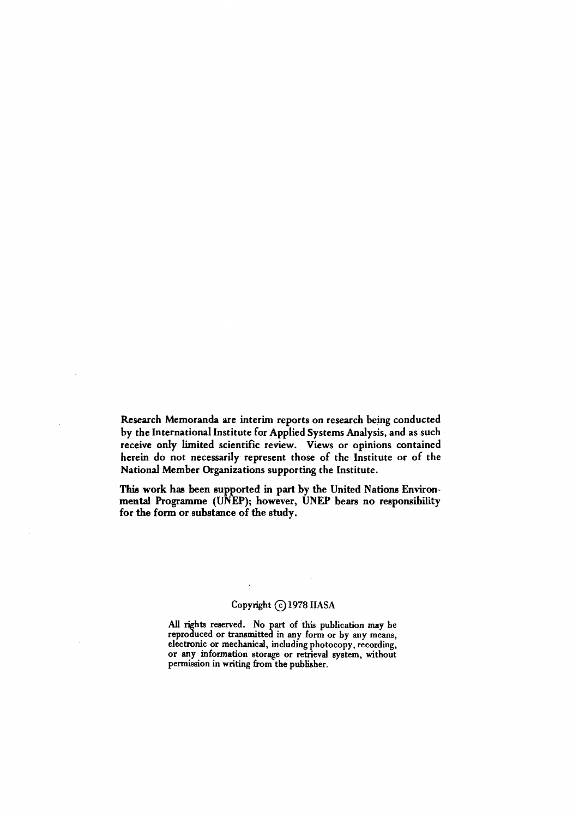Research Memoranda are interim reports on research being conducted by the International Institute for Applied Systems Analysis, and as such receive only limited scientific review. Views or opinions contained herein do not necessarily represent those of the Institute or of the Nationd Member Organizations supporting the Institute.

This work has been eupported in part by the United Nations Environmental Programme (UNEP); however, UNEP bears no responsibility for the form or subetance of the study.

# Copyright @ 1978 IIASA

All rights reserved. No part of this publication may be reproduced or transmitted in any form or by any means, electronic or mechanical, including photocopy, recording, or any infomation storage or retrieval system, without permission in writing from the publisher.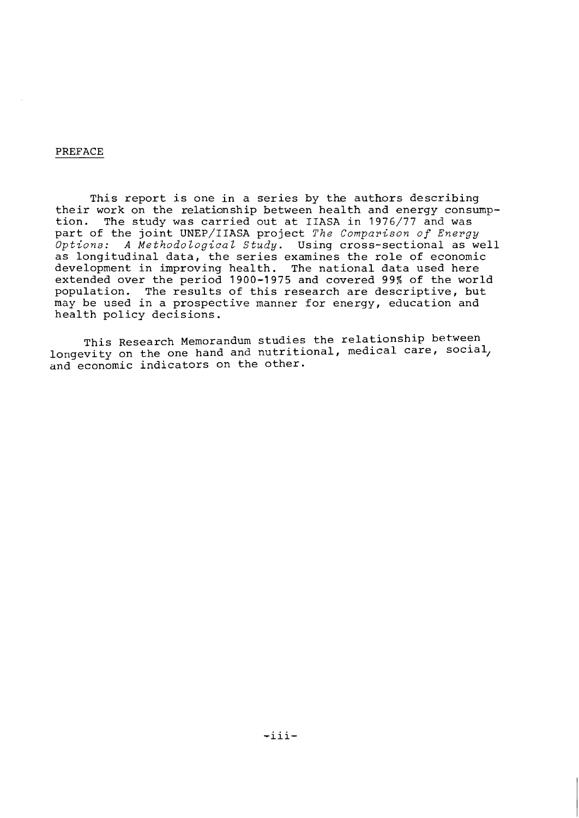# PREFACE

This report is one in a series by the authors describing their work on the relationship between health and energy consunption. The study was carried out at IIASA in 1976/77 and was part of the joint UNEP/IIASA project *The Comparison of Energy Options: A MethodoZogicaZ Study.* Using cross-sectional as well as longitudinal data, the series examines the role of economic development in improving health. The national data used here extended over the period 1900-1975 and covered 99% of the world population. The results of this research are descriptive, but may be used in a prospective manner for energy, education and health policy decisions.

This Research Memorandum studies the relationship between longevity on the one hand and nutritional, medical care, social, and economic indicators on the other.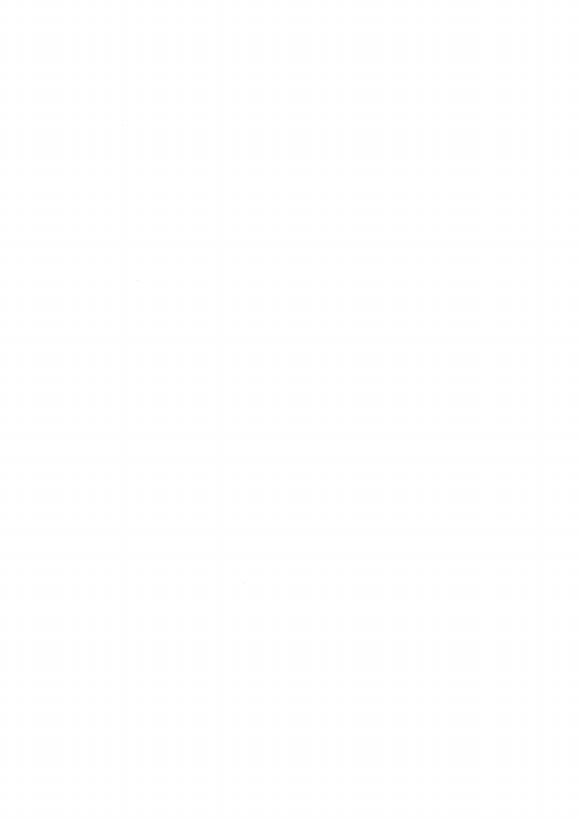$\label{eq:2.1} \mathcal{L}(\mathcal{L}^{\text{max}}_{\mathcal{L}}(\mathcal{L}^{\text{max}}_{\mathcal{L}}))\leq \mathcal{L}(\mathcal{L}^{\text{max}}_{\mathcal{L}}(\mathcal{L}^{\text{max}}_{\mathcal{L}}))$ 

 $\mathcal{L}^{\text{max}}_{\text{max}}$  and  $\mathcal{L}^{\text{max}}_{\text{max}}$ 

 $\label{eq:2.1} \frac{1}{\sqrt{2}}\left(\frac{1}{\sqrt{2}}\right)^{2} \frac{1}{\sqrt{2}}\left(\frac{1}{\sqrt{2}}\right)^{2} \frac{1}{\sqrt{2}}\left(\frac{1}{\sqrt{2}}\right)^{2} \frac{1}{\sqrt{2}}\left(\frac{1}{\sqrt{2}}\right)^{2} \frac{1}{\sqrt{2}}\left(\frac{1}{\sqrt{2}}\right)^{2} \frac{1}{\sqrt{2}}\left(\frac{1}{\sqrt{2}}\right)^{2} \frac{1}{\sqrt{2}}\left(\frac{1}{\sqrt{2}}\right)^{2} \frac{1}{\sqrt{2}}\left(\frac{$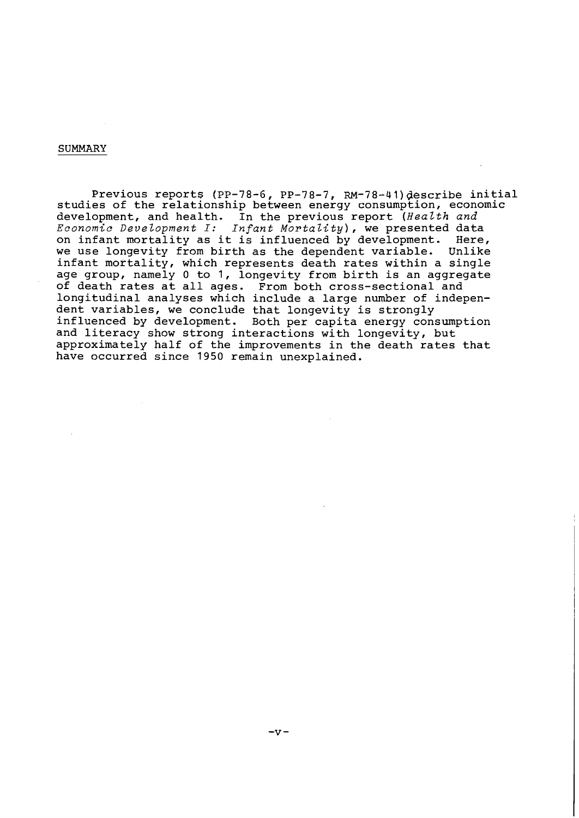## **SUMMARY**

Previous reports (PP-78-6, PP-78-7, RM-78-41)describe initial studies of the relationship between energy consumption, economic development, and health. In the previous report (Health and Economic Development I: Infant Mortality), we presented data on infant mortality as it is influenced by development. Here, we use longevity from birth as the dependent variable. Unlike infant mortality, which represents death rates within a single age group, namely 0 to 1, longevity from birth is an aggregate of death rates at all ages. From both cross-sectional and longitudinal analyses which include a large number of independent variables, we conclude that longevity is strongly influenced by development. Both per capita energy consumption and literacy show strong interactions with longevity, but approximately half of the improvements in the death rates that have occurred since 1950 remain unexplained.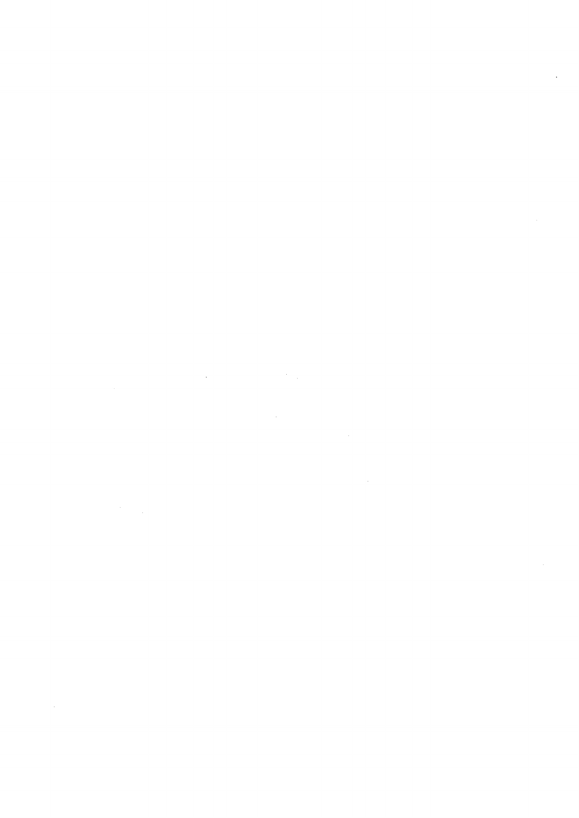$\langle \cdot, \cdot \rangle$ 

 $\label{eq:2.1} \frac{1}{\sqrt{2}}\int_{0}^{\infty}\frac{1}{\sqrt{2\pi}}\left(\frac{1}{\sqrt{2\pi}}\right)^{2\alpha} \frac{1}{\sqrt{2\pi}}\int_{0}^{\infty}\frac{1}{\sqrt{2\pi}}\left(\frac{1}{\sqrt{2\pi}}\right)^{\alpha} \frac{1}{\sqrt{2\pi}}\frac{1}{\sqrt{2\pi}}\int_{0}^{\infty}\frac{1}{\sqrt{2\pi}}\frac{1}{\sqrt{2\pi}}\frac{1}{\sqrt{2\pi}}\frac{1}{\sqrt{2\pi}}\frac{1}{\sqrt{2\pi}}\frac{1}{\sqrt{2\pi}}$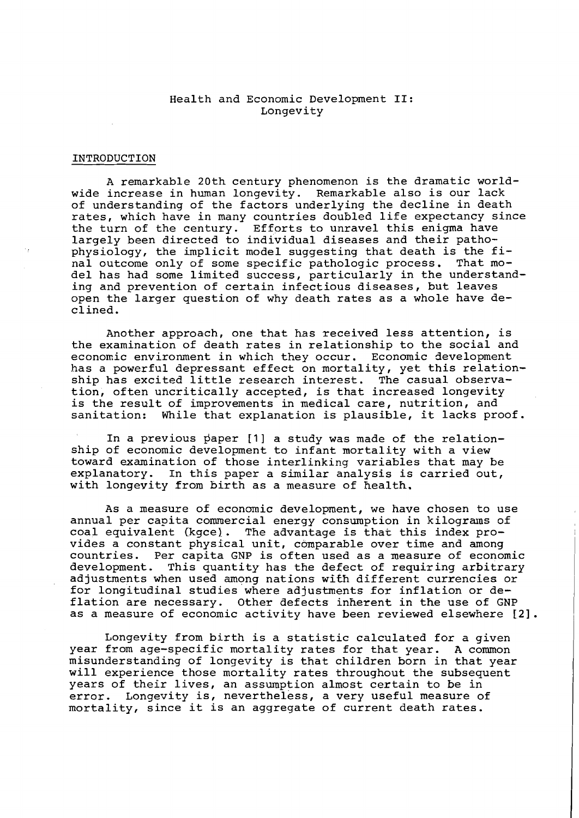# Health and Economic Development 11: Longevity

## INTRODUCTION

A remarkable 20th century phenomenon is the dramatic worldwide increase in human longevity. Remarkable also is our lack of understanding of the factors underlying the decline in death rates, which have in many countries doubled life expectancy since the turn of the century. Efforts to unravel this enigma have largely been directed to individual diseases and their pathophysiology, the implicit model suggesting that death is the fi-<br>nal outcome only of some specific pathologic process. That monal outcome only of some specific pathologic process. del has had some limited success, particularly in the understanding and prevention of certain infectious diseases, but leaves open the larger question of why death rates as a whole have declined.

Another approach, one that has received less attention, is the examination of death rates in relationship to the social and economic environment in which they occur. Economic development has a powerful depressant effect on mortality, yet this relationship has excited little research interest. The casual observation, often uncritically accepted, is that increased longevity is the result of improvements in medical care, nutrition, and<br>sanitation: While that explanation is plausible, it lacks pro While that explanation is plausible, it lacks proof.

In a previous paper [1] a study was made of the relationship of economic development to infant mortality with a view toward examination of those interlinking variables that may be explanatory. In this paper a similar analysis is carried out, with longevity from birth as a measure of health.

As a measure of economic development, we have chosen to use annual per capita commercial energy consumption in kilograms of coal equivalent (kgce).. The advantage is that this index provides a constant physical unit, comparable over time and among countries. Per capita GNP is often used as a measure of economic<br>development. This quantity has the defect of requiring arbitrary This quantity has the defect of requiring arbitrary adjustments when used among nations with different currencies or for longitudinal studies where adjustments for inflation or deflation are necessary. Other defects inherent in the use of GNP as a measure of economic activity have been reviewed elsewhere **[2].** 

Longevity from birth is a statistic calculated for a given<br>from age-specific mortality rates for that year. A common year from age-specific mortality rates for that year. misunderstanding of longevity is that children born in that year will experience those mortality rates throughout the subsequent years of their lives, an assumption almost certain to be in error. Longevity is, nevertheless, a very useful measure of mortality, since it is an aggregate of current death rates.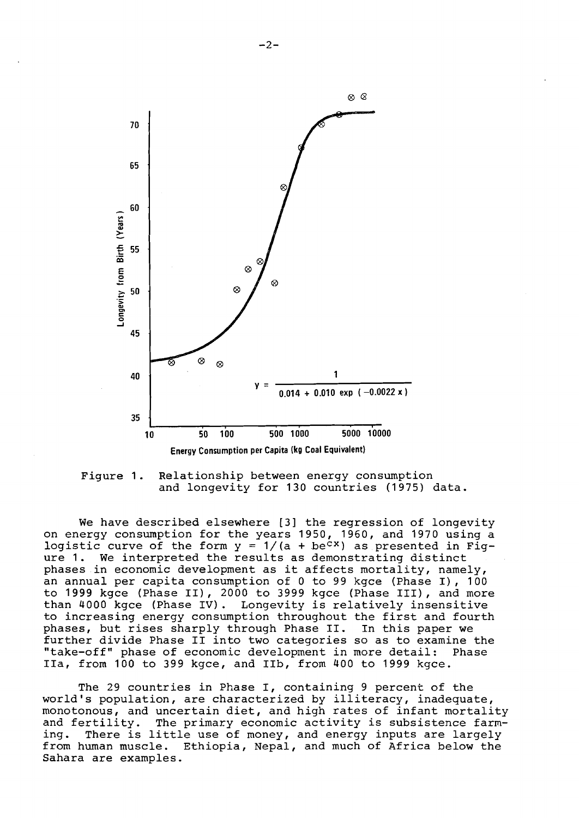

Figure 1. Relationship between energy consumption and longevity for 130 countries (1975) data.

We have described elsewhere [3] the regression of longevity on energy consumption for the years 1950, 1960, and 1970 using a logistic curve of the form  $y = 1/(a + be^{cx})$  as presented in Figure 1. We interpreted the results as demonstrating distinct phases in economic development as it affects mortality, namely, an annual per capita consumption of 0 to 99 kgce (Phase I), 100 to 1999 kgce (Phase II), 2000 to 3999 kgce (Phase III), and more than 4000 kgce (Phase IV). Longevity is relatively insensitive to increasing energy consumption throughout the first and fourth phases, but rises sharply through Phase 11. In this paper we further divide Phase II into two categories so as to examine the<br>"take-off" phase of economic development in more detail: Phase "take-off" phase of economic development in more detail: IIa, from 100 to 399 kgce, and IIb, from 400 to 1999 kgce.

The 29 countries in Phase I, containing 9 percent of the world's population, are characterized by illiteracy, inadequate, monotonous, and uncertain diet, and high rates of infant mortality and fertility. The primary economic activity is subsistence farm-<br>ing. There is little use of money, and energy inputs are largely There is little use of money, and energy inputs are largely from human muscle. Ethiopia, Nepal, and much of Africa below the Sahara are examples.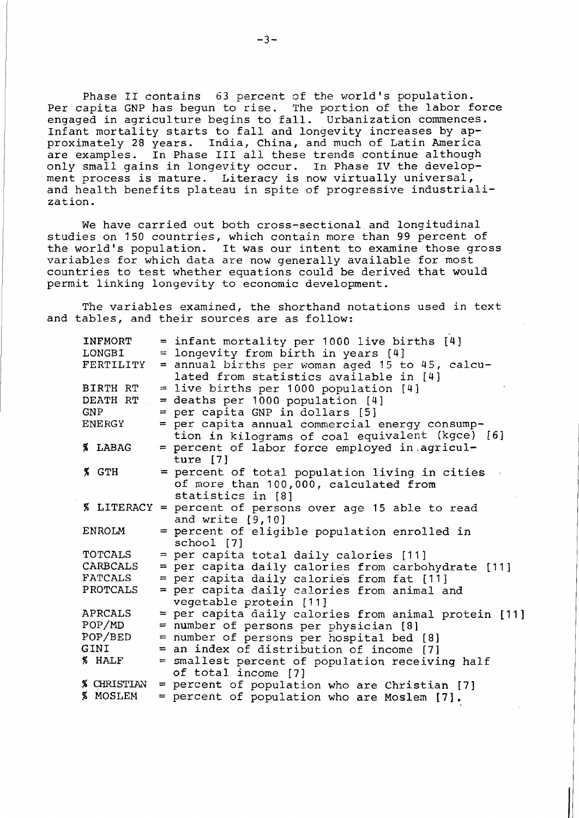Phase I1 contains 63 percent of the world's population. Per capita GNP has begun to rise. The portion of the labor force engaged in agriculture begins to fall. Urbanization commences. Infant mortality starts to fall and longevity increases by approximately 28 years. India, China, and much of Latin America are examples. In Phase I11 all these trends continue although only small gains in longevity occur. In Phase IV the development process is mature. Literacy is now virtually universal, and health benefits plateau in spite of progressive industrialization.

We have carried out both cross-sectional and longitudinal studies on 150 countries, which contain more than 99 percent of the world's population. It was our intent to examine those gross variables for which data are now generally available for most countries to test whether equations could be derived that would permit linking longevity to economic development.

The variables examined, the shorthand notations used in text and tables, and their sources are as follow:

|            | <b>INFMORT</b>     | = infant mortality per 1000 live births [4]              |
|------------|--------------------|----------------------------------------------------------|
|            | LONGBI             | = longevity from birth in years [4]                      |
|            | FERTILITY          | = annual births per woman aged 15 to 45, calcu-          |
|            |                    | lated from statistics available in [4]                   |
|            | BIRTH RT           | $=$ live births per 1000 population [4]                  |
|            | DEATH RT           | = deaths per 1000 population [4]                         |
| <b>GNP</b> |                    | = per capita GNP in dollars [5]                          |
|            | ENERGY             | = per capita annual commercial energy consump-           |
|            |                    | tion in kilograms of coal equivalent (kgce) [6]          |
|            | % LABAG            | = percent of labor force employed in agricul-            |
|            |                    | ture [7]                                                 |
|            | % GTH              | = percent of total population living in cities           |
|            |                    | of more than 100,000, calculated from                    |
|            |                    | statistics in [8]                                        |
|            |                    | % LITERACY = percent of persons over age 15 able to read |
|            |                    | and write [9,10]                                         |
|            | ENROLM             | = percent of eligible population enrolled in             |
|            |                    | school [7]                                               |
|            | TOTCALS            | = per capita total daily calories [11]                   |
|            | CARBCALS           | = per capita daily calories from carbohydrate [11]       |
|            | <b>FATCALS</b>     | = per capita daily calories from fat [11]                |
|            | PROTCALS           | = per capita daily calories from animal and              |
|            |                    | vegetable protein [11]                                   |
|            | APRCALS            | = per capita daily calories from animal protein [11]     |
|            | POP/MD             | = number of persons per physician [8]                    |
|            | POP/BED            | = number of persons per hospital bed [8]                 |
|            | GINI               | = an index of distribution of income [7]                 |
|            | % HALF             | = smallest percent of population receiving half          |
|            |                    | of total income [7]                                      |
|            | <b>% CHRISTIAN</b> | = percent of population who are Christian [7]            |
|            |                    |                                                          |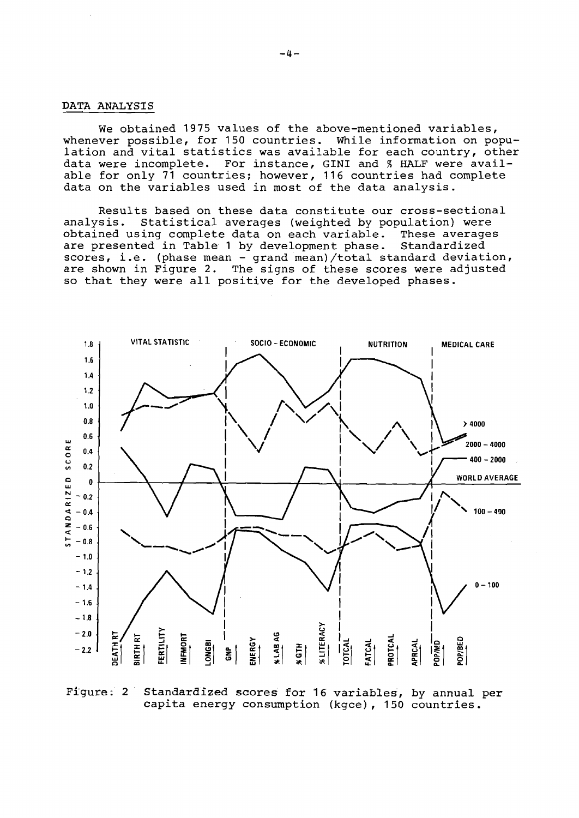## **DATA ANALYSIS**

We obtained 1975 values of the above-mentioned variables, whenever possible, for 150 countries. While information on population and vital statistics was available for each country, other data were incomplete. For instance, **GIN1** and % HALF were available for only 71 countries; however, 116 countries had complete data on the variables used in most of the data analysis.

Results based on these data constitute our cross-sectional<br>analysis. Statistical averages (weighted by population) were Statistical averages (weighted by population) were<br>ing complete data on each variable. These averages obtained using complete data on each variable. These averagence are probable in Table 1 by development phase. Standardized are presented in Table 1 by development phase. scores, i.e. (phase mean - grand mean)/total standard deviation, are shown in Figure 2. The signs of these scores were adjusted so that they were all positive for the developed phases.



Figure: 2 Standardized scores for 16 variables, by annual per capita energy consumption (kqce), 150 countries.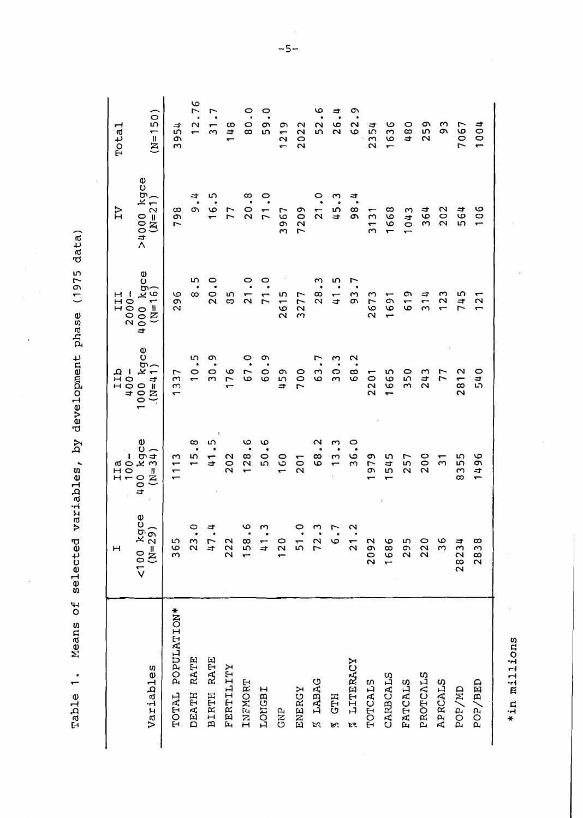Table 1. Means of selected variables, by development phase (1975 data)

 $\ddot{\phantom{a}}$ 

|                   | н                                                                              | $T_{00}$<br>$T_{00}$            | IIb<br>001                                    | III<br>2000-                                                                         | NI                                                              | Total                      |
|-------------------|--------------------------------------------------------------------------------|---------------------------------|-----------------------------------------------|--------------------------------------------------------------------------------------|-----------------------------------------------------------------|----------------------------|
| Variables         | $\overset{\text{\normalsize 0}}{\text{\normalsize C}}$<br>$2100$ kgc<br>(N=29) | kgce<br>=34)<br>$\equiv$<br>001 | $\overset{\circ}{\circ}$<br>$1000 \text{ kg}$ | $\overset{\circ}{\circ}$<br>ې<br>په<br>o<br>$\overline{1}$<br>$\overline{1}$<br>4000 | $\overset{\circ}{\circ}$<br>$\frac{5}{1}$<br>$(N=21)$<br>20001< | $(N=150)$                  |
| TOTAL POPULATION* | 365                                                                            | 1113                            | 1337                                          | ৩<br>29                                                                              | 798                                                             | 3954                       |
| DEATH RATE        | ○<br>.<br>२३                                                                   | 15.8                            | 10.5                                          | $\frac{5}{8}$                                                                        | 9.4                                                             | 12.76                      |
| BIRTH RATE        | ᆉ<br>47.                                                                       | ഥ<br>$\frac{1}{4}$              | 30.9                                          | 20.0                                                                                 | 16.5                                                            | 31.7                       |
| FERTILITY         | 222                                                                            | 202                             | 176                                           | 58                                                                                   | 77                                                              | 148                        |
| <b>INFMORT</b>    | o<br>158.                                                                      | 128.6                           | 67.0                                          | 21.0                                                                                 | 20.8                                                            | 0.08                       |
| LONGBI            | ო<br>$\frac{1}{4}$                                                             | 50.6                            | 6.09                                          | 71.0                                                                                 | 71.0                                                            | 59.0                       |
| <b>GNP</b>        | 120                                                                            | 160                             | 459                                           | 2615                                                                                 | 3967                                                            | 1219                       |
| ENERGY            | 0<br>5                                                                         | <b>201</b>                      | 700                                           | 3277                                                                                 | 7209                                                            | 2022                       |
| <b>N LABAG</b>    | 72.3                                                                           | 68.2                            | 63.7                                          | 28.3                                                                                 | $\ddot{\phantom{0}}$<br>$\overline{2}$                          | $\overset{\circ}{.}$<br>52 |
| <b>ELES</b>       | .<br>م                                                                         | 13.3                            | 30.3                                          | 41.5                                                                                 | 45.3                                                            | 26.4                       |
| Z LITERACY        | $\sim$<br>$\overline{2}$ 1                                                     | 36.0                            | 68.2                                          | 93                                                                                   | ᅻ<br>ø                                                          | ᡡ<br>62                    |
| TOTCALS           | 2092                                                                           | 979                             | 2201                                          | 2673                                                                                 | 3131                                                            | 2354                       |
| CARBCALS          | 1686                                                                           | 545<br>$\overline{\phantom{0}}$ | 1665                                          | 1691                                                                                 | 1668                                                            | 1636                       |
| FATCALS           | 295                                                                            | 257                             | 350                                           | 619                                                                                  | 1043                                                            | 480                        |
| PROTCALS          | 220                                                                            | 200                             | 243                                           | 314                                                                                  | 364                                                             | 259                        |
| <b>APRCALS</b>    | $\frac{6}{3}$                                                                  | $\overline{5}$                  | 77                                            | 123                                                                                  | 202                                                             | 93                         |
| POP/MD            | 28234                                                                          | 8355                            | 2812                                          | 745                                                                                  | 564                                                             | 7067                       |
| POP/BED           | 2838                                                                           | 496                             | 540                                           | 121                                                                                  | 06<br>7                                                         | 1004                       |

 $\ddot{\phantom{a}}$ 

 $\hat{\boldsymbol{\gamma}}$ 

\*in millions

 $-5-$ 

 $\bar{z}$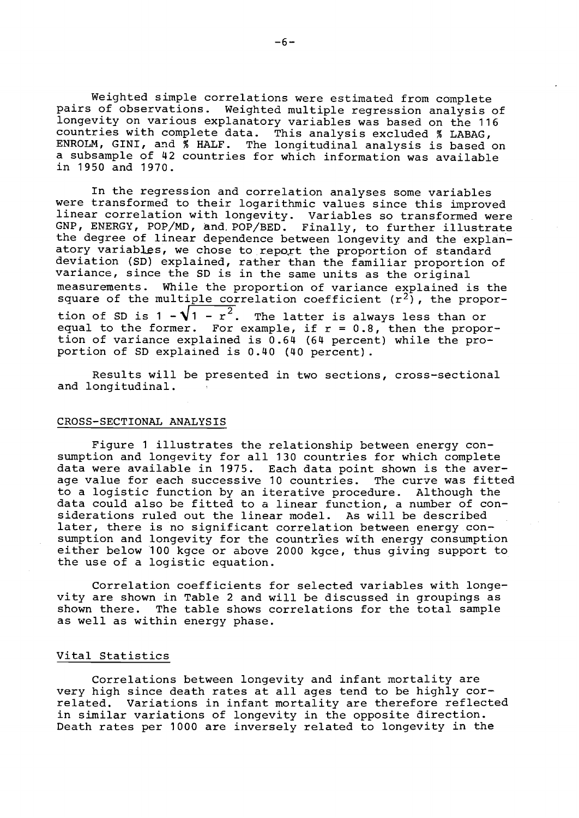Weighted simple correlations were estimated from complete pairs of observations. Weighted multiple regression analysis of longevity on various explanatory variables was based on the 116 countries with complete data. This analysis excluded % LABAG,<br>ENROLM, GINI, and % HALF. The longitudinal analysis is based The longitudinal analysis is based on a subsample of 42 countries for which information was available in 1950 and 1970.

In the regression and correlation analyses some variables were transformed to their logarithmic values since this improved linear correlation with longevity. Variables so transformed were GNP, ENERGY, POP/MD, and. POP/BED. Finally, to further illustrate the degree of linear dependence between longevity and the explanatory variables, we chose to report the proportion of standard deviation (SD) explained, rather than the familiar proportion of variance, since the SD is in the same units as the original measurements. While the proportion of variance explained is the square of the multiple correlation coefficient  $(r^2)$ , the propor-<br>tion of SD is  $1 - \sqrt{1 - r^2}$ . The latter is always less than or The latter is always less than or equal to the former. For example, if  $r = 0.8$ , then the proportion of variance explained is 0.64 (64 percent) while the proportion of SD explained is 0.40 (40 percent).

Results will be presented in two sections, cross-sectional and longitudinal.

## CROSS-SECTIONAL ANALYSIS

Figure 1 illustrates the relationship between energy consumption and longevity for all 330 countries for which complete data were available in 1975. Each data point shown is the aver-<br>age value for each successive 10 countries. The curve was fitted age value for each successive 10 countries. to a logistic function by an iterative procedure. Although the data could also be fitted to a linear function, a number of considerations ruled out the linear model. As will be described later, there is no significant correlation between energy consumption and longevity for the countries with energy consumption either below 100 kgce or above 2000 kgce, thus giving support to the use of a logistic equation.

Correlation coefficients for selected variables with longevity are shown in Table 2 and will be discussed in groupings as shown there. The table shows correlations for the total sample as well as within energy phase.

#### Vital Statistics

Correlations between longevity and infant mortality are very high since death rates at all ages tend to be highly correlated. Variations in infant mortality are therefore reflected in similar variations of longevity in the opposite direction. Death rates per 1000 are inversely related to longevity in the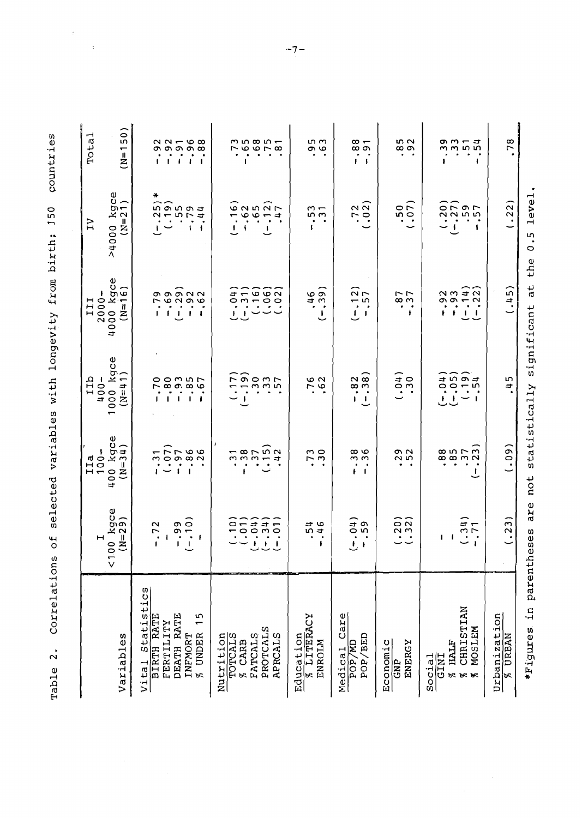Correlations of selected variables with longevity from birth; 150 countries Table 2.

 $\frac{1}{\sqrt{2}}\int_{0}^{\sqrt{2}}\frac{1}{\sqrt{2}}\left( \frac{1}{2}\right) ^{2}d\mu$ 

 $\frac{1}{2}$ 

|                                                                                                                    | н                                                                                     | $T1a -$                                                                                                                     |                                                                                                                                                                                                       |                                                                                          | $\overline{1}$                                                                                                                                                                              | Total                                                                           |
|--------------------------------------------------------------------------------------------------------------------|---------------------------------------------------------------------------------------|-----------------------------------------------------------------------------------------------------------------------------|-------------------------------------------------------------------------------------------------------------------------------------------------------------------------------------------------------|------------------------------------------------------------------------------------------|---------------------------------------------------------------------------------------------------------------------------------------------------------------------------------------------|---------------------------------------------------------------------------------|
| Variables                                                                                                          | $k$ gce<br>=29)<br>Щ<br>$\frac{8}{3}$<br>$\overline{\sqrt{2}}$                        | $400 \text{ kgce}$<br>$(N=34)$                                                                                              | e<br>C<br>(14=41)<br>1000 kgc<br>1000 kgc                                                                                                                                                             | Φ<br>$111$<br>2000 -<br>4000 kgce<br>4000 kgce                                           | $00$ kgce<br>$(M=21)$<br>000                                                                                                                                                                | 50<br>$(N=1)$                                                                   |
| tal Statistics<br>BIRTH RATE<br>$\overline{1}$<br>DEATH RATE<br>FERTILITY<br>INFMORT<br><b>UNDER</b><br>Vital<br>æ | $\frac{99}{10}$<br>$\sim$<br>7<br>$\bullet$<br>$\mathbf{1}$<br>1<br>$\mathbf{I}$<br>L | $-0.586$<br>$-0.586$<br>$\overline{\phantom{0}}$<br>w<br>ドンド<br>$\mathbf{I}$                                                | 00 m m r<br>$\alpha$ $\sigma$ $\alpha$ $\omega$<br>$\overline{ }$<br>$\bullet$<br>$\bullet$<br>$\bullet$<br>$\bullet$<br>$\mathbf{I}$<br>$\mathbf{L}$<br>$\mathbf{L}$<br>$\mathbf{I}$<br>$\mathbf{I}$ | agana<br>rongo<br>$\vec{r}$ , $\vec{r}$ , $\vec{r}$<br>$\cdot$<br>٠<br>L<br>$\mathbf{I}$ | ∗<br><b>in on in d</b><br>$\therefore$ $\therefore$ $\therefore$<br>$\sim$<br>$\bullet$<br>$\mathbf{L}$<br>$\mathbf{I}$<br>$\mathbf{I}$                                                     | $\alpha$ $\alpha$ $\sim$ $\alpha$<br>თთთთ<br>了了了<br>I.<br>$\mathbf{I}$          |
| <b>PROTCALS</b><br>Nutrition<br>APRCALS<br>FATCALS<br><b>% CARB</b>                                                | parto<br>$\circ$<br>$\bullet$<br>$\bullet$<br>$\bullet$<br>,<br>ł                     | $\frac{37}{3}$<br>$\frac{38}{3}$<br>$\frac{7}{3}$<br>$\frac{8}{1}$<br>$\frac{1}{2}$<br>$\frac{1}{2}$<br>$\frac{1}{2}$<br>ŧ. | $\overline{\Omega}$<br>r<br>$    -$<br>$\bullet$<br>$\bullet$<br>$\bullet$<br>f                                                                                                                       | $4 - 600$<br>$\circ$ m $\sim$ $\circ$ $\circ$<br>$\hat{L}$<br>ت<br>$\ddot{\phantom{0}}$  | $0$ $0$ $0$ $0$ $0$ $0$<br>$\circ$ .<br>P<br>$\Rightarrow$<br>$\overline{\phantom{0}}$<br>$\bullet$<br>$\bullet$<br>$\bullet$<br>$\pmb{\mathsf{I}}$<br>$\pmb{\mathcal{S}}$<br>$\pmb{\cdot}$ | നഥയഥ $-$<br><b>76678</b><br>$\bullet$<br>$\bullet$<br>$\bullet$<br>$\mathbf{I}$ |
| Education<br><b><i>K</i></b> LITERACY<br><b>ENROLM</b>                                                             | <b>4 ա</b><br>5 ա<br>$\bullet$ . $\bullet$                                            | 73<br>$\blacksquare$                                                                                                        | .76                                                                                                                                                                                                   | $46$<br>39)<br>$\bullet$<br>٠<br>$\mathbf{F}$<br>ٮ                                       | $\sim$ $-$<br>ഗ ന<br>$\blacksquare$<br>$\bullet$<br>ţ.                                                                                                                                      | ഥ സ<br>ە ھ                                                                      |
| Care<br>POP/BED<br>$\frac{1}{20R}$<br>Medical                                                                      | (14)<br>$\bullet$<br>٠<br>ٹ<br>ł                                                      | ထ ယ<br>ო ო<br>$\bullet$<br>$\blacksquare$<br>Ł<br>$\blacksquare$                                                            | $\approx$ $\frac{1}{\infty}$<br>$\sim$<br>$\infty$<br>$\blacksquare$<br>Ĺ<br>$\overline{\phantom{a}}$                                                                                                 | $\sim$ $\sim$<br>ഥ<br>$\frac{1}{1}$<br>$\blacksquare$                                    | $\sim$ $\stackrel{\frown}{\sim}$<br>$\ddot{ }$ .                                                                                                                                            | $\infty$ $-$<br>∞ თ<br>Ŷ<br>$\bullet$<br>ţ                                      |
| Economic<br>ENERGY<br><b>GNP</b>                                                                                   | $\widehat{c}$<br>$\overline{N}$                                                       | mσ<br>$\sim$ m<br>$\bullet\qquad \bullet$                                                                                   | $\frac{1}{100}$                                                                                                                                                                                       | 87<br>37<br>٠<br>$\bullet$<br>÷                                                          | $\frac{50}{07}$<br>$\bullet$ $\bullet$                                                                                                                                                      | n u<br>∞ თ<br>$\cdot$ $\cdot$                                                   |
| CHRISTIAN<br>MOSLEM<br><b>A HALF</b><br>$\frac{\text{Social}}{\text{GIMI}}$<br>$\aleph$<br>$\mathbf{R}$            | 71<br>$\blacksquare$<br>$\bullet$<br>Ł<br>- 1                                         | 88573<br>$\bullet$<br>$\bullet$<br>$\bullet$<br>$\bullet$<br>$\mathbf{I}$                                                   | $.04$<br>$.05$<br>$.05$<br>$.04$<br>$.04$<br>$\ddot{\cdot}$<br>$\ddot{\cdot}$<br>$\widetilde{\phantom{m}}$<br>ı                                                                                       | $-93$<br>$-14$<br>$-14$<br>$-22$                                                         | OPM<br>$\begin{array}{c}\n\overrightarrow{a} & \overrightarrow{a} & \overrightarrow{a} \\ \overrightarrow{b} & \overrightarrow{c} & \overrightarrow{d}\n\end{array}$<br>$\sqrt{2}$<br>1     | ののつけ<br>ოო ო ო<br>$\bullet$<br>$\bullet$<br>$\mathbf{r}$<br>ł                   |
| Urbanization<br><b>URBAN</b><br>æ                                                                                  | .23                                                                                   | (60.                                                                                                                        | ഥ<br>4                                                                                                                                                                                                | $-45$                                                                                    | 22                                                                                                                                                                                          | ∞<br>L                                                                          |
| parenth<br>*Figures in                                                                                             | are<br>eses                                                                           | not                                                                                                                         | statistically                                                                                                                                                                                         | the<br>$\frac{1}{d}$<br>significant                                                      | level<br>ю<br>$\bullet$<br>$\circ$                                                                                                                                                          |                                                                                 |

 $\ddot{\phantom{0}}$ 

 $-7-$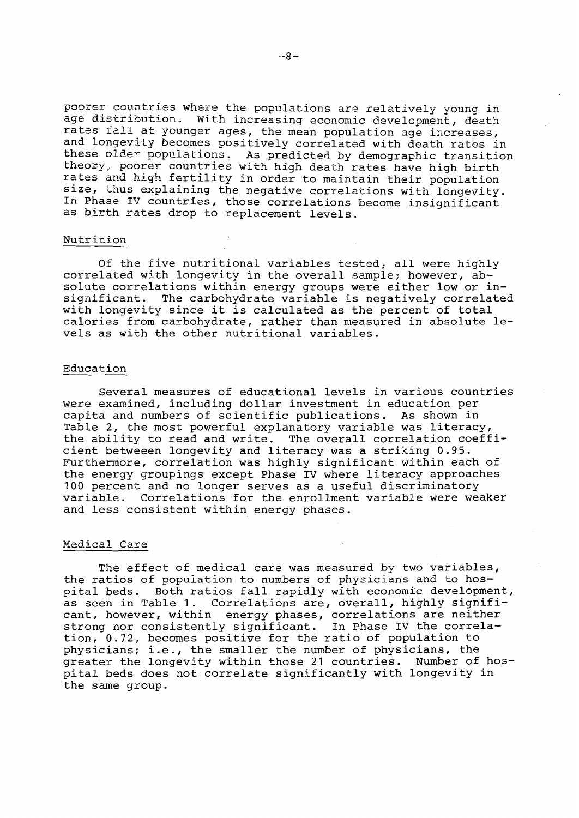**paorer** countries where the populations ars relatively young in age distribution. With increasing economic development, death rates fall at younger ages, the mean population age increases, and longevity becomes positively correlated with death rates in these older populations. As predicted by demographic transition theory, poorer countries with high death rates have high birth rates and **high** fertility in order to maintain their population size, thus explaining the negative correlations with longevity. In Phase IV countries, those correlations become insignificant as birth rates drop to replacement levels.

#### Nutrition

Of the five nutritional variables tested, all were highly correlated with longevity in the overall sample; however, absolute correlations within energy groups were either low or in-<br>significant. The carbohydrate variable is negatively correlate The carbohydrate variable is negatively correlated with longevity since it is calculated as the percent of total calories from carbohydrate, rather than measured in absolute levels as with the other nutritional variables.

## Education

Several measures of educational levels in various countries were examined, including dollar investment in education per capita and numbers of scientific publications. As shown in Table 2, the most powerful explanatory variable was literacy, the ability to read and write. The overall correlation coefficient betweeen longevity and literacy was a striking 0.95. Furthermore, correlation was highly significant within each of the energy groupings except Phase IV where literacy approaches 100 percent and no longer serves as a useful discriminatory variable. Correlations for the enrollment variable were weaker and less consistant within energy phases.

# Medical Care

The effect of medical care was measured by two variables, the ratios of population to numbers of physicians and to hospital beds. Both ratios fall rapidly with economic development, as seen in Table 1. Correlations are, overall, highly significant, however, within energy phases, correlations are neither strong nor consistently significant. In Phase IV the correlation, 0.72, becomes positive for the ratio of population to physicians; i.e., the smaller the number of physicians, the greater the longevity within those 21 countries. Number of hospital beds does not correlate significantly with longevity in the same group.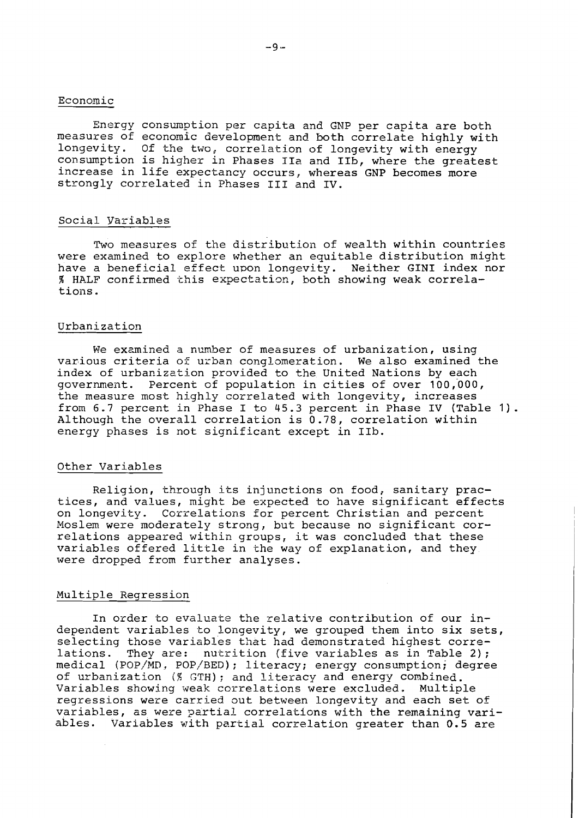#### Econonic

Energy consumption per capita and GNP per capita are both measures of economic development and both correlate highly with longevity. Of the two, correlation of longevity with energy consumption is higher in Phases IIa and IIb, where the greatest increase in life expectancy occurs, whereas GNP becomes more strongly correlated in Phases III and IV.

# Social Yariables

Two measures of the distribution of wealth within countries were examined to explore whether an equitable distribution might have a beneficial effect upon longevity. Neither GIN1 index nor **X** HALF confirmed this expectation, both showing weak correlations.

# Urbanization

We examined a number of measures of urbanization, using various criteria of urban conglomeration. We also examined the index of urbanization provided to the United Nations by each government. Percent of population in cities of over 100,000, the measure most highly correlated with longevity, increases from 6.7 percent in Phase I to 45.3 percent in Phase IV (Table 1). Although the overall correlation is 0.78, correlation within energy phases is not significant except in IIb.

## Other Variables

Religion, through its injunctions on food, sanitary practices, and values, might be expected to have significant effects on longevity. Correlations for percent Christian and percent Moslem were moderately strong, but because no significant correlations appeared within groups, it was concluded that these variables offered little in the way of explanation, and they were dropped from further analyses.

## Multiple Regression

In order to evaluate the relative contribution of our independent variables to longevity, we grouped them into six sets, selecting those variables that had demonstrated highest correlations. They are: nutrition (five variables as in Table **2);**  medical (POP/MD, POP/BED); literacy; energy consumption; degree of urbanization (% GTH); and literacy and energy combined. Variables showing weak correlations were excluded. Multiple regressions were carried out between longevity and each set of variables, as were partial correlations with the remaining variables. Variables with partial correlation greater than 0.5 are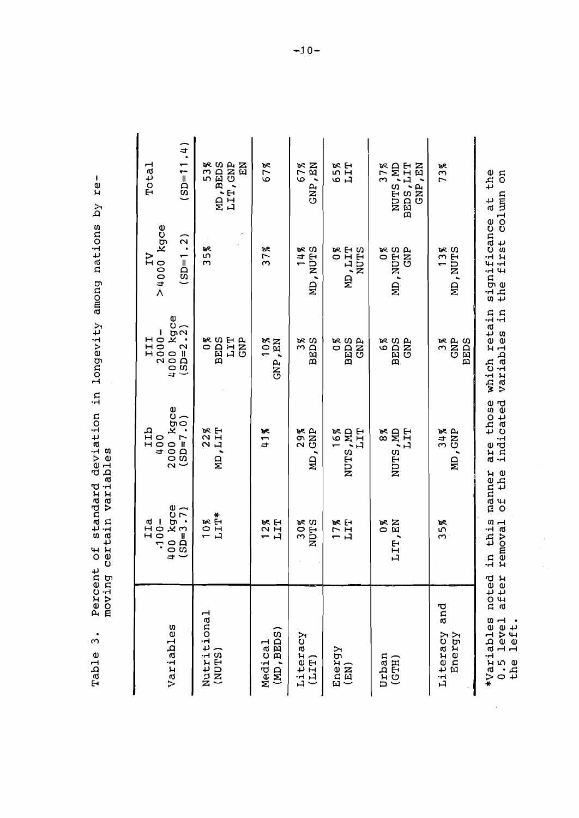|                           | certain variables<br>standard<br>$\overline{5}$<br>Percent<br>moving | μ.                                                   |                                                      |                                                 | ΔY                                       |
|---------------------------|----------------------------------------------------------------------|------------------------------------------------------|------------------------------------------------------|-------------------------------------------------|------------------------------------------|
| Variables                 | 400 kgce<br>(SD=3.7)<br>-100<br>-100                                 | ee<br>$2000 \text{ kgce}$<br>(SD=7.0)<br>IIb<br>$00$ | kgce<br>2.2)<br>ŧ<br>2000-<br>III<br>$S = 2$<br>4000 | $>4000$ kgce<br>$(SD=1.2)$<br>N                 | $\frac{1}{4}$<br>$(SD=11)$<br>Total      |
| Nutritional<br>(NUTS)     | $10%$<br>$LIT*$                                                      | 22%<br>ND,LIT                                        | GNP                                                  | $\epsilon$<br>$\mathcal{B}_{\mathcal{C}}$<br>ās | LIT, GNP<br>53%<br>RD, BEDS<br><b>RH</b> |
| (MD, BEDS)<br>Medical     | 12%<br>LIT                                                           | 41%                                                  | 10%<br>NEV.<br>GNP                                   | 37%                                             | 67%                                      |
| Literacy<br>(LIT)         | 30%<br>NUTS                                                          | 29%<br>GNP<br>$\blacksquare$<br><b>G</b>             | <b>3858</b><br>BEDS                                  | 14%<br>14%<br>g                                 | NE, 4NE<br>245                           |
| Energy<br>(EN)            | LIT<br>17%                                                           | LIT<br>GN.<br>16%<br><b>NUTS</b>                     | GNP<br>ОK<br>О<br><b>BEDS</b>                        | <b>CITT</b><br>оg<br>ЯĎ                         | 65%<br>LIT                               |
| Urban<br>(GTH)            | NEV.<br>o<br>K<br>LIT                                                | LIT<br>只<br>(1)<br>8 <sup>6</sup><br><b>NUTS</b>     | <b>BEDS</b><br><b>GNP</b><br>89                      | 0K<br>MD, NUTS<br>GNP                           | BEDS, LIT<br>NUTS, MD<br>37%<br>GNP, EN  |
| and<br>Literacy<br>Energy | 35%                                                                  | 34%<br>GNP<br>$\ddot{\phantom{0}}$<br>g              | GNP<br><b>BEDS</b><br>3g                             | 13%<br>ND, NUTS                                 | 73%                                      |

 $\ddot{\phantom{0}}$ 

 $-10-$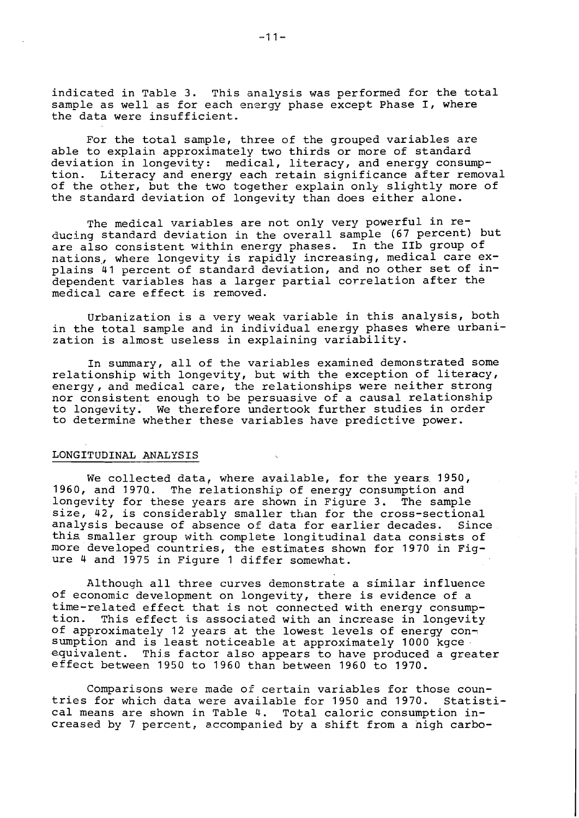indicated in Table **3.** This analysis was performed for the total sample as well as for each energy phase except Phase I, where the data were insufficient.

For the total sample, three of the grouped variables are able to explain approximately two thirds or more of standard deviation in longevity: medical, literacy, and energy consumption. Literacy and energy each retain significance after removal of the other, but the two together explain only slightly more of the standard deviation of longevity than does either alone.

The medical variables are not only very powerful in reducing standard deviation in the overall sample (67 percent) but are also consistent within energy phases. In the IIb group of nations, where longevity is rapidly increasing, medical care explains 41 percent of standard deviation, and no other set of independent variables has a larger partial correlation after the medical care effect is removed.

Urbanization is a very weak variable in this analysis, both in the total sample and in individual energy phases where urbanization is almost useless in explaining variability.

In summary, all of the variables examined demonstrated some relationship with longevity, but with the exception of literacy, energy, and medical care, the relationships were neither strong nor consistent enough to be persuasive of a causal relationship to longevity. We therefore undertook further studies in order to determine whether these variables have predictive power.

# LONGITUDINAL ANALYSIS

We collected data, where available, for the years 1950, 1960, and J97Q. The relationship of energy consumption and longevity for these years are shown in Figure **3.** The sample size, 42, is considerably smaller than for the cross-sectional analysis because of absence of data for earlier decades. this. smaller group with complete longitudinal data consists of more developed countries, the estimates shown for 1970 in Figure 4 and J975 in Figure 1 differ somewhat.

Althouqh all three curves demonstrate a similar influence of economic development on longevity, there is evidence of a time-related effect that is not connected with energy consump-<br>tion. This effect is associated with an increase in longevity This effect is associated with an increase in longevity of approximately 12 years at the lowest levels of energy consumption and is least noticeable at approximately 1000 kgce equivalent. This factor also appears to have produced a greater effect between 1950 to 1960 than between 1960 to 1970.

Comparisons were made of certain variables for those countries for which data were available for 1950 and 1970. Statistical means are shown in Table 4. Total caloric consumption increased by 7 percent, accompanied by a shift from a nigh carbo-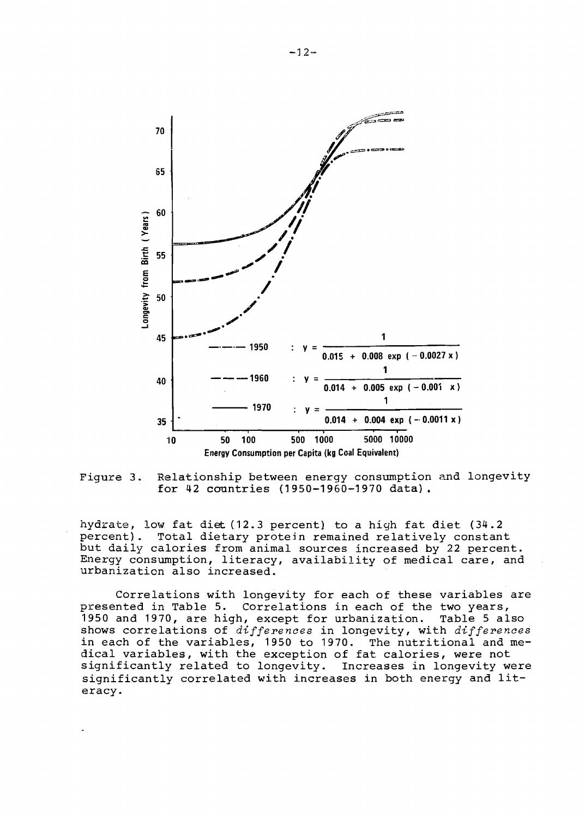

Figure 3. Relationship between energy consumption and longevity for 42 countries (1950-1960-1970 data).

hydrate, low fat diet (12.3 percent) to a high fat diet (34.2 percent). Total dietary protein remained relatively constant but daily calories from animal sources increased by 22 percent. Energy consumption, literacy, availability of medical care, and urbanizaticn also increased.

Correlations with longevity for each of these variables are presented in Table 5. Correlations in each of the two years, 1950 and 1970, are high, except for urbanization. Table 5 also shows correlations of **differences** in longevity, with **differences**  in each of the variables, 1950 to 1970. The nutritional and medical variables, with the exception of fat calories, were not significantly related to longevity. Increases in longevity were significantly correlated with increases in both energy and literacy.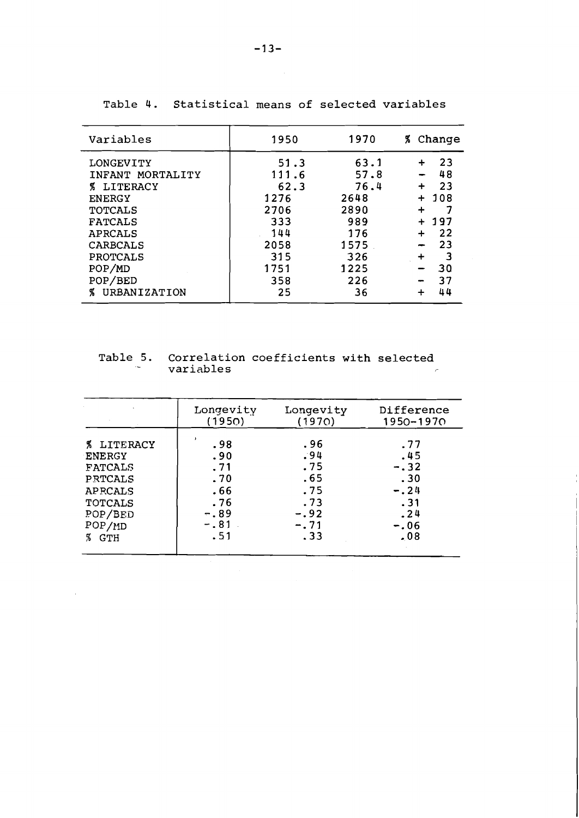| Variables          | 1950  | 1970 | % Change |
|--------------------|-------|------|----------|
| LONGEVITY          | 51.3  | 63.1 | 23<br>┿  |
| INFANT MORTALITY   | 111.6 | 57.8 | 48       |
| <b>% LITERACY</b>  | 62.3  | 76.4 | 23       |
| <b>ENERGY</b>      | 1276  | 2648 | 108      |
| <b>TOTCALS</b>     | 2706  | 2890 | $\div$   |
| <b>FATCALS</b>     | 333   | 989  | 197      |
| <b>APRCALS</b>     | 144   | 176  | 22<br>┿  |
| CARBCALS           | 2058  | 1575 | 23       |
| <b>PROTCALS</b>    | 315   | 326  | 3        |
| POP/MD             | 1751  | 1225 | 30       |
| POP/BED            | 358   | 226  | 37       |
| URBANIZATION<br>Z. | 25    | 36   | 44       |

Table **4.** Statistical means of selected variables

 $\mathcal{L}^{\text{max}}_{\text{max}}$  , where  $\mathcal{L}^{\text{max}}_{\text{max}}$ 

# Table 5. Correlation coefficients with selected variables

|                   | Longevity<br>(1950) | Longevity<br>(1970) | Difference<br>1950-1970 |
|-------------------|---------------------|---------------------|-------------------------|
| <b>X LITERACY</b> | .98                 | .96                 | .77                     |
| ENERGY            | .90                 | .94                 | .45                     |
| <b>FATCALS</b>    | .71                 | .75                 | $-.32$                  |
| <b>PRTCALS</b>    | .70                 | .65                 | .30                     |
| <b>APRCALS</b>    | .66                 | .75                 | $-.24$                  |
| <b>TOTCALS</b>    | .76                 | .73                 | .31                     |
| POP/BED           | $-0.89$             | $-.92$              | .24                     |
| POP/MD            | $-.81$              | $-.71$              | $-.06$                  |
| % GTH             | .51                 | .33                 | .08                     |
|                   |                     |                     |                         |

 $\mathcal{A}$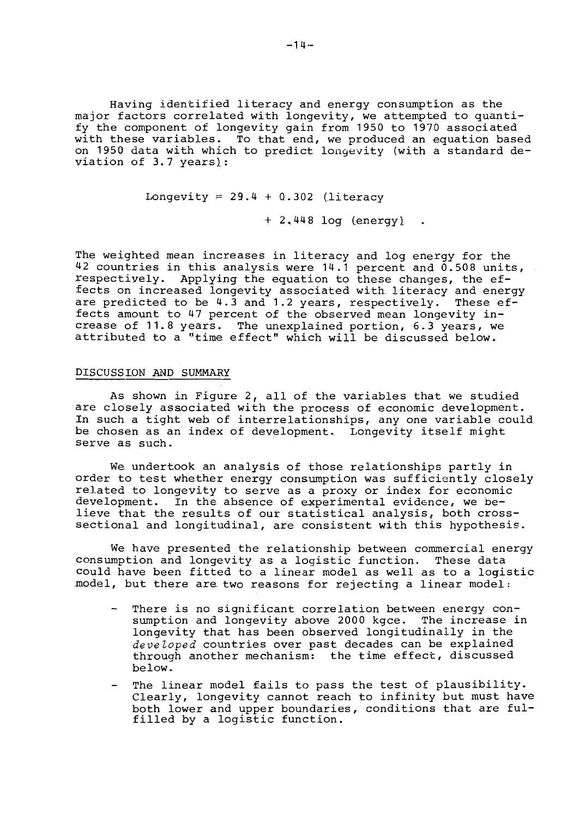Having identified literacy and energy consumption as the major factors correlated with longevity, we attempted to quantify the component of longevity gain from 1950 to 1970 associated with these variables. To that end, we produced an equation based on 1950 data with which to predict longevity (with a standard deviation of **3,7** years).:

## Longevity =  $29.4 + 0.302$  (literacy

 $+ 2,448$  log (energy).

The weighted mean increases in literacy and log energy for the 42 countries in this analysis were  $14 \cdot 1$  percent and 0.508 units,<br>respectively. Applying the equation to these changes, the ef-Applying the equation to these changes, the effects on increased longevity associated with. literacy and energy are predicted to be  $4.3$  and 1.2 years, respectively. These effects amount to 47 percent of the observed mean longevity increase of 31.8 years. The unexplained portion, **6.3** years, we attributed to a "time effect" which will be discussed below.

## DISCUSSION AND SUMMARY

As shown in Figure 2, all of the variables that we studied are closely associated with the process of economic development. In such a tight web of interrelationships, any one variable could be chosen as an index of development, Longevity itself might serve as such.

We undertook an analysis of those relationships partly in order to test whether energy consumption was sufficiently closely related to longevity to serve as a proxy or index for economic development. In the absence of experimental evidence, we believe that the results of out statistical analysis, both crosssectional and longitudinal, are consistent with this hypothesis.

We have presented the relationship between commercial energy consumption and longevity as a logistic function. These data could have been fitted to a linear model as well as to a logistic model, but there are two reasons for rejecting a linear model:

- There is no significant correlation between energy consumption and longevity above 2000 kgce. The increase in longevity that has been observed longitudinally in the *developed* countries over past decades can be explained through another mechanism: the time effect, discussed below.
- The linear model fails to pass the test of plausibility. Clearly, longevity cannot reach to infinity but must have both lower and upper boundaries, conditions that are fulfilled by a logistic function.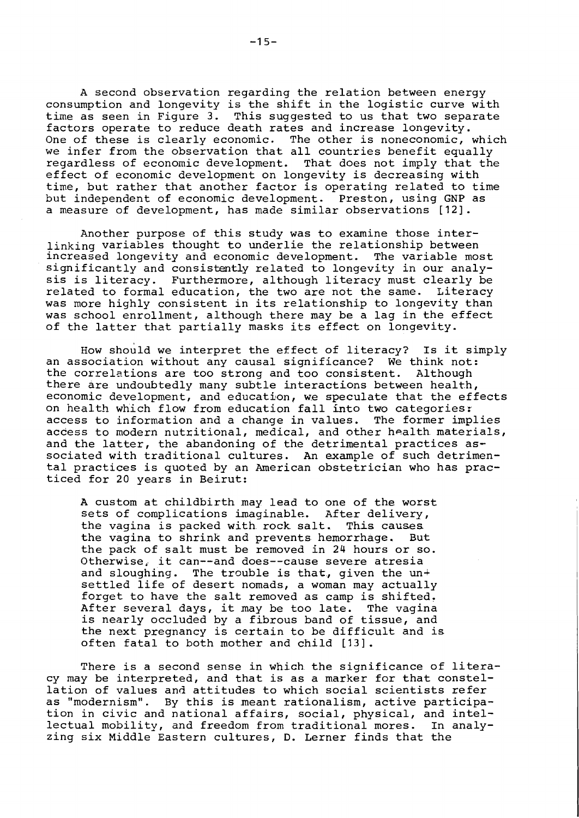A second observation regarding the relation between energy consumption and longevity is the shift in the logistic curve with time as seen in Figure **3.** This suggested to us that two separate factors operate to reduce death rates and increase longevity. One of these is clearly economic. The other is noneconomic, which we infer from the observation that all countries benefit equally regardless of economic development. That does not imply that the effect of economic development on longevity is decreasing wibh time, but rather that another factor is operating related to time but independent of economic development. Preston, using GNP as a measure of development, has made similar observations [12].

Another purpose of this study was to examine those interlinking variables thought to underlie the relationship between increased longevity and economic development. The variable most significantly and consistently related to longevity in our analysis is literacy. Furthermore, although literacy must clearly be related to formal education, the two are not the same. Literacy was more highly consistent in its relationship to longevity than was school enrollment, although there may be a lag in the effect of the latter that partially masks its effect on longevity.

How should we interpret the effect of literacy? Is it simply an association without any causal significance? We think not: the correlstions are too strong and too consistent. Although there are undoubtedly many subtle interactions between health, economic development, and education, we speculate that the effects on health which flow from education fall into two categories: access to information and a change in values. The former implies access to modern nutritional, medical, and other health materials, and the latter, the abandoning of the detrimental practices associated with traditional cultures. An example of such detrimental practices is quoted by an American obstetrician who has practiced for 20 years in Beirut:

A custom at childbirth may lead to one of the worst sets of complications imaginable. After delivery, the vagina is packed with rock salt. **This** causes the vagina to shrink and prevents hemorrhage. the pack of salt must be removed in 24 hours or so. Otherwise, it can--and does--cause severe atresia and sloughing. The trouble is that, given the un+ settled life of desert nomads, a woman may actually forget to have the salt removed as camp is shifted. After several days, it may be too late. The vagina is nearly occluded by a fibrous band of tissue, and the next pregnancy is certain to be difficult and is often fatal to both mother and child [13].

There is a second sense in which the significance of literacy may be interpreted, and that is as a marker for that constellation of values and attitudes to which social scientists refer as "modernism". By this is meant rationalism, active participation in civic and national affairs, social, physical, and intellectual mobility, and freedom from traditional mores. In analyzing six Middle Eastern cultures, D. Lerner finds that the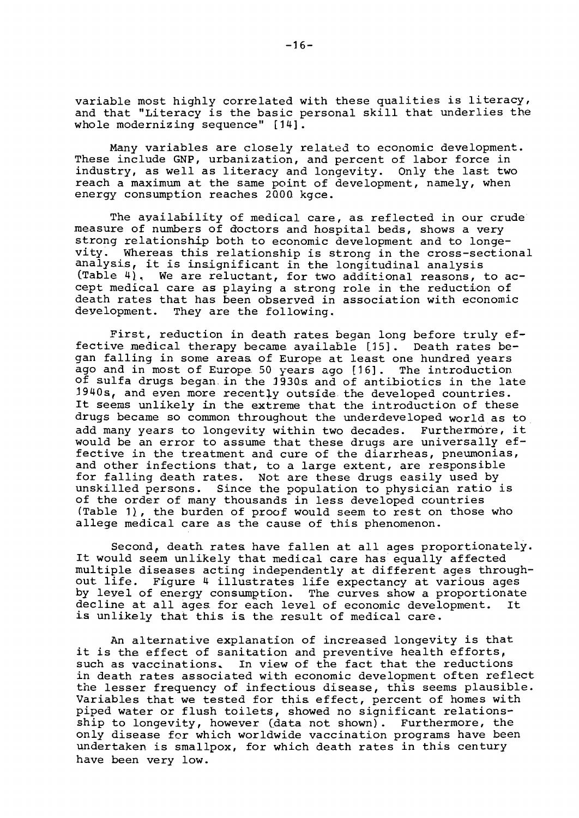variable most highly correlated with these qualities is literacy, and that "Literacy is the basic personal skill that underlies the whole modernizing sequence" [14].

Many variables are closely related to economic development. These include GNP, urbanization, and percent of labor force in industry, as well as literacy and longevity. Only the last two reach a maximum at the same point of development, namely, when energy consumption reaches 2000. kgce.

The ayailability of medical care, as reflected in our crude measure of numbers of doctors and hospital beds, shows a very strong relationship both to economic development and to longevity. Whereas this relationship is strong in the cross-sectional analysis, it is insignificant in the longitudinal analysis (Table  $4$ ), We are reluctant, for two additional reasons, to accept medical care as playing a strong role in the reduction of death rates that has been observed in association with economic<br>development. They are the following. They are the following.

First, reduction in death rates began long before truly effective medical therapy became ayailable  $[15]$ . Death rates began falling in some areas of Europe at least one hundred years ago and in most of Europe 50 years ago [16]. The introduction of sulfa drugs began in the **3930s** and of antibiotics in the late  $1940s$ , and even more recently outside the developed countries. It seems unlikely in the extreme that the introduction of these drugs became so common throughout the underdeveloped world as to at ugs became so common chroughout the underdeveroped world as to would be an error to assume that these drugs are universally effective in the treatment and cure of the diarrheas, pneumonias, and other infections that, to a large extent, are responsible for falling death rates. Not are these drugs easily used by unskilled persons. Since the population to physician ratio is of the order of many thousands in less developed countries (Table **11,** the burden of proof would seem to rest on those who allege medical care as the cause of this phenomenon.

Second, death rates have fallen at all ages proportionately. It would seem unlikely that medical care has equally affected multiple diseases acting independently at different ages throughout life. Figure 4 illustrates life expectancy at various ages by level of energy consumption. The curves show a proportionate decline at all ages for each level of economic development. It decline at all ages for each level of economic development. is unlikely that this is the result of medical care.

An alternative explanation of increased longevity is that it is the effect of sanitation and preventive health efforts, such as vaccinations, In view of the fact that the reductions in death rates associated with economic development often reflect the lesser frequency of infectious disease, this seems plausible. Variables that we tested for this effect, percent of homes with piped water or flush toilets, showed no significant relations- $\text{ship to longevity, however (data not shown). Furthermore, the}$ only disease fcr which worldwide vaccination programs have been undertaken is smallpox, for which death rates in this century have been very low.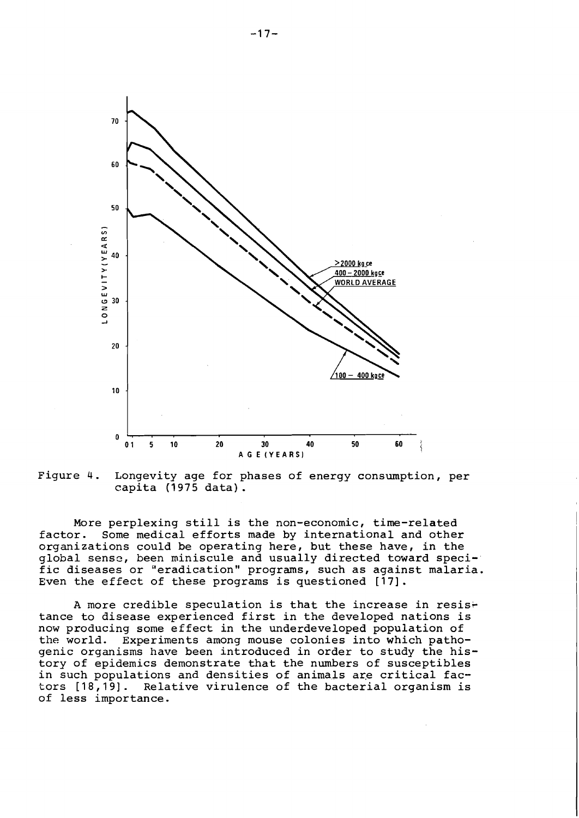

Fiqure 4. Longevity age for phases of energy consumption, per capita (1975 data).

More perplexing still is the non-economic, time-related Some medical efforts made by international and other factor. organizations could be operating here, but these have, in the global sense, been miniscule and usually directed toward specific diseases or "eradication" programs, such as against malaria. Even the effect of these programs is questioned [17].

A more credible speculation is that the increase in resistance to disease experienced first in the developed nations is now producing some effect in the underdeveloped population of Experiments among mouse colonies into which pathothe world. genic organisms have been introduced in order to study the history of epidemics demonstrate that the numbers of susceptibles in such populations and densities of animals are critical factors [18,19]. Relative virulence of the bacterial organism is of less importance.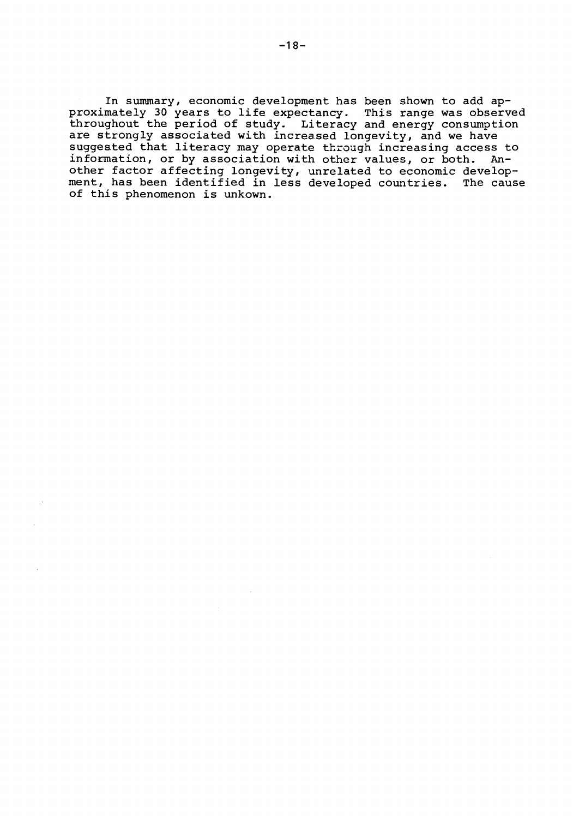In summary, economic development has been shown to add approximately 30 years to life expectancy. This range was observed throughout the period of study. Literacy and energy consumption are strongly associated with increased longevity, and we have suggested that literacy may operate through increasing access to information, or by association with other values, or both. Another factor affecting longevity, unrelated to economic development, has been identified in less developed countries. The cause of this phenomenon is unkown.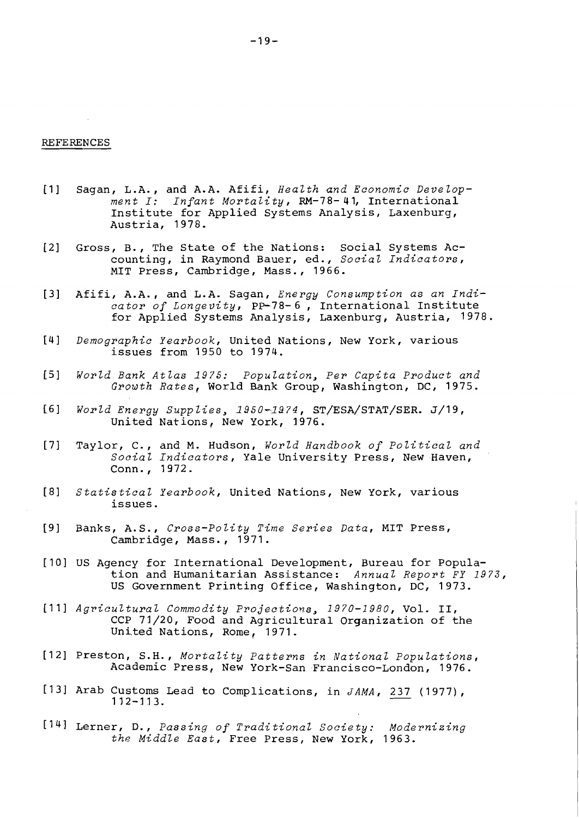## REFERENCES

- [I1 Sagan, L.A., and A.A. Afifi, Health and Economic Development I: Infant Mortality, RM-78-41, International Institute for Applied Systems Analysis, Laxenburg, Austria, 1978.
- [21 Gross, B., The State of the Nations: Social Systems Accounting, in Raymond Bauer, ed., Social Indicators, MIT Press, Cambridge, Mass., 1966.
- [3] Afifi, A.A., and L.A. Sagan, Energy Consumption as an Indicator of Longevity, PP-78-6, International Institute for Applied Systems Analysis, Laxenburg, Austria, 1978.
- [4] Demographic Yearbook, United Nations, New York, various issues from 1950 to 1974.
- L51 World Bank Atlas 1975: Population, Per Capita Product and Growth Rates, World Bank Group, Washington, DC, 1975.
- 161 World Energy Supplies, 1950-11974, ST/ESA/STAT/SER. J/19, United Nations, New York, 3976.
- [71 Taylor, C., and M. Hudson, World Handbook of Political and Social Indicators, Yale University Press, New Haven, Conn., 1972.
- [8] Statistical Yearbook, United Nations, New York, various issues.
- [9] Banks, A.S., Cross-Polity Time Series Data, MIT Press, Cambridge, Mass., 1971.
- [lo] US Agency for International Development, Bureau for Population and Humanitarian Assistance: Annual Report FY 1973, US Government Printing Office, Washington, DC, 1973.
- [11] Agricultural Commodity Projections, 1970-1980, Vol. II, CCP 73/20, Food and Agricultural Organization of the United Nations, Rome, 1971.
- [12] Preston, S.H., Mortality Patterns in National Populations, Academic Press, New York-San Francisco-London, 1976. on, S.H., *Mortality Patterns in National Popula*<br>Academic Press, New York-San Francisco-London,<br>Customs Lead to Complications, in JAMA, 237 (19<br>112-113.
- [13] Arab Customs Lead to Complications, in  $JAMA$ ,  $237$  (1977),  $112-113$ .
- [14] Lerner, D., Passing of Traditional Society: Modernizing the Middle East, Free Press, New York, 1963.